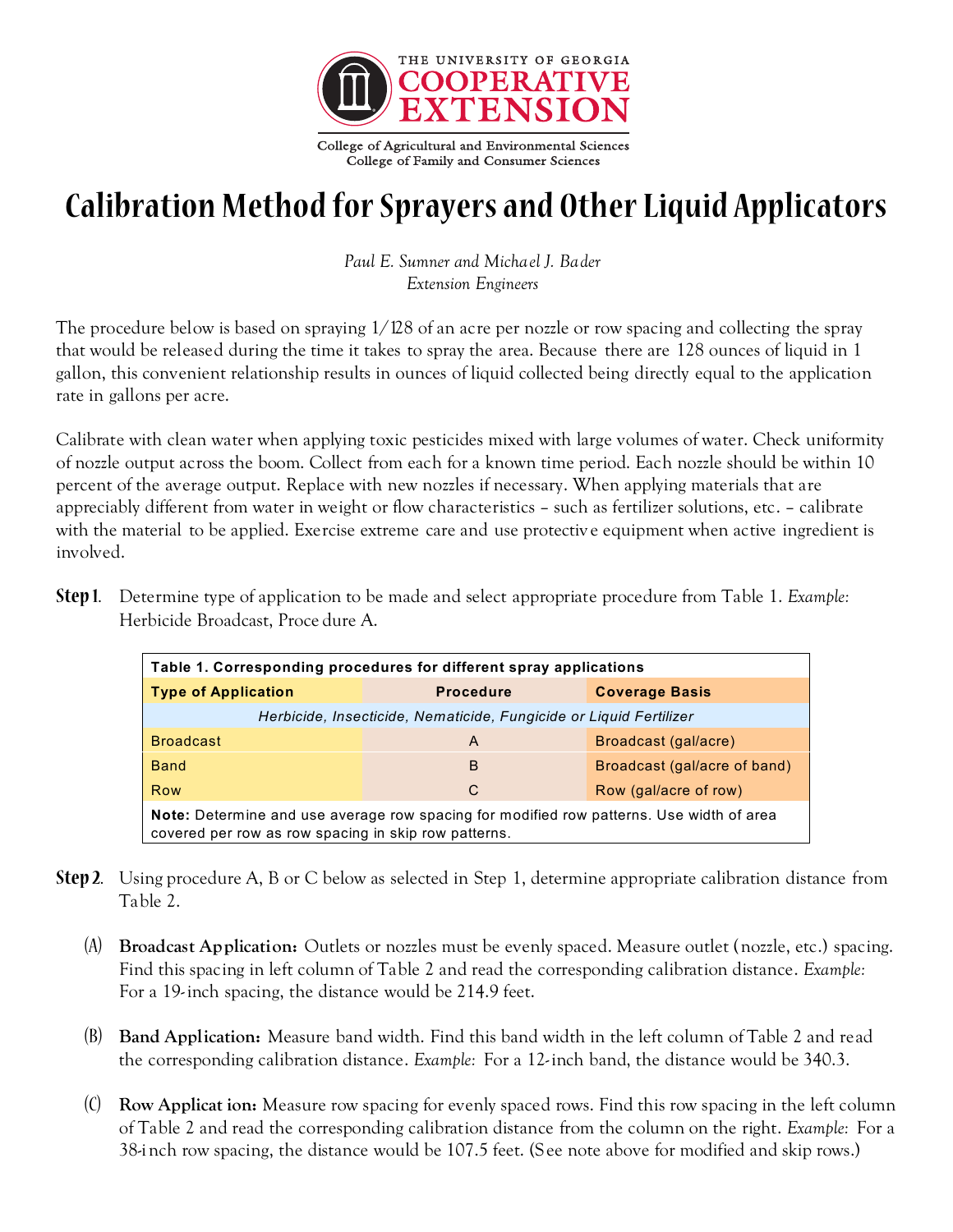

# **Calibration Method for Sprayers and Other Liquid Applicators**

*Paul E. Sumner and Michael J. Bader Extension Engineers*

The procedure below is based on spraying 1/128 of an acre per nozzle or row spacing and collecting the spray that would be released during the time it takes to spray the area. Because there are 128 ounces of liquid in 1 gallon, this convenient relationship results in ounces of liquid collected being directly equal to the application rate in gallons per acre.

Calibrate with clean water when applying toxic pesticides mixed with large volumes of water. Check uniformity of nozzle output across the boom. Collect from each for a known time period. Each nozzle should be within 10 percent of the average output. Replace with new nozzles if necessary. When applying materials that are appreciably different from water in weight or flow characteristics – such as fertilizer solutions, etc. – calibrate with the material to be applied. Exercise extreme care and use protective equipment when active ingredient is involved.

| <b>Type of Application</b>                                         | <b>Procedure</b> | <b>Coverage Basis</b>        |  |  |
|--------------------------------------------------------------------|------------------|------------------------------|--|--|
| Herbicide, Insecticide, Nematicide, Fungicide or Liquid Fertilizer |                  |                              |  |  |
| <b>Broadcast</b>                                                   | A                | Broadcast (gal/acre)         |  |  |
| <b>Band</b>                                                        | B                | Broadcast (gal/acre of band) |  |  |
| Row                                                                | C                | Row (gal/acre of row)        |  |  |

**Step 1.** Determine type of application to be made and select appropriate procedure from Table 1. *Example:* Herbicide Broadcast, Proce dure A.

- **Step 2.** Using procedure A, B or C below as selected in Step 1, determine appropriate calibration distance from Table 2.
	- (A) **Broadcast Application:** Outlets or nozzles must be evenly spaced. Measure outlet (nozzle, etc.) spacing. Find this spacing in left column of Table 2 and read the corresponding calibration distance. *Example:* For a 19-inch spacing, the distance would be 214.9 feet.
	- (B) **Band Application:** Measure band width. Find this band width in the left column of Table 2 and read the corresponding calibration distance. *Example:* For a 12- inch band, the distance would be 340.3.
	- (C) **Row Applicat ion:** Measure row spacing for evenly spaced rows. Find this row spacing in the left column of Table 2 and read the corresponding calibration distance from the column on the right. *Example:* For a 38-inch row spacing, the distance would be 107.5 feet. (See note above for modified and skip rows.)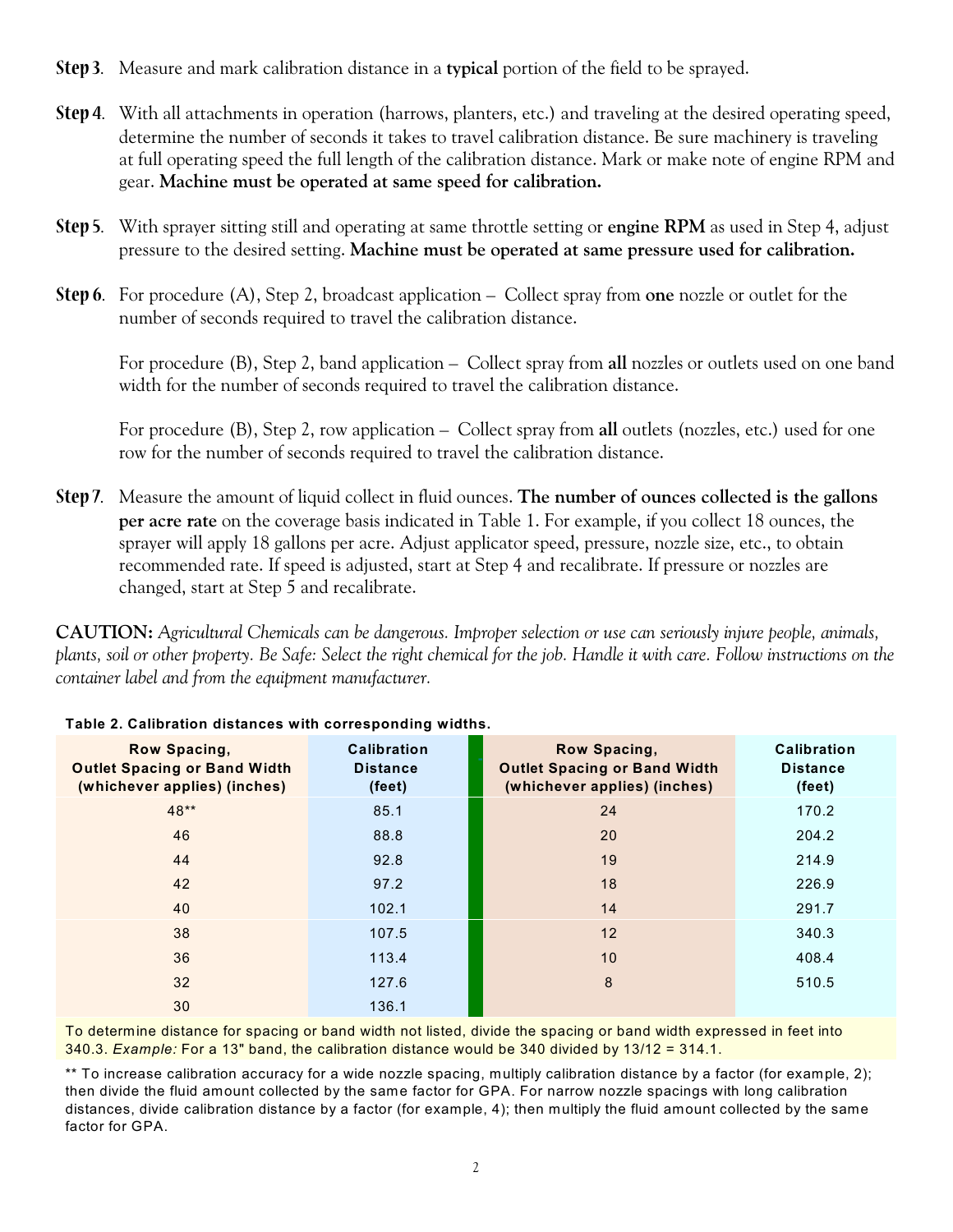- **Step 3.** Measure and mark calibration distance in a **typical** portion of the field to be sprayed.
- **Step 4.** With all attachments in operation (harrows, planters, etc.) and traveling at the desired operating speed, determine the number of seconds it takes to travel calibration distance. Be sure machinery is traveling at full operating speed the full length of the calibration distance. Mark or make note of engine RPM and gear. **Machine must be operated at same speed for calibration.**
- **Step 5.** With sprayer sitting still and operating at same throttle setting or **engine RPM** as used in Step 4, adjust pressure to the desired setting. **Machine must be operated at same pressure used for calibration.**
- **Step 6.** For procedure (A), Step 2, broadcast application Collect spray from **one** nozzle or outlet for the number of seconds required to travel the calibration distance.

For procedure (B), Step 2, band application – Collect spray from **all** nozzles or outlets used on one band width for the number of seconds required to travel the calibration distance.

For procedure (B), Step 2, row application – Collect spray from **all** outlets (nozzles, etc.) used for one row for the number of seconds required to travel the calibration distance.

**Step 7.** Measure the amount of liquid collect in fluid ounces. **The number of ounces collected is the gallons per acre rate** on the coverage basis indicated in Table 1. For example, if you collect 18 ounces, the sprayer will apply 18 gallons per acre. Adjust applicator speed, pressure, nozzle size, etc., to obtain recommended rate. If speed is adjusted, start at Step 4 and recalibrate. If pressure or nozzles are changed, start at Step 5 and recalibrate.

**CAUTION:** *Agricultural Chemicals can be dangerous. Improper selection or use can seriously injure people, animals, plants, soil or other property. Be Safe: Select the right chemical for the job. Handle it with care. Follow instructions on the container label and from the equipment manufacturer.*

| Row Spacing,<br><b>Outlet Spacing or Band Width</b><br>(whichever applies) (inches) | <b>Calibration</b><br><b>Distance</b><br>(feet) | Row Spacing,<br><b>Outlet Spacing or Band Width</b><br>(whichever applies) (inches) | <b>Calibration</b><br><b>Distance</b><br>(feet) |
|-------------------------------------------------------------------------------------|-------------------------------------------------|-------------------------------------------------------------------------------------|-------------------------------------------------|
| $48**$                                                                              | 85.1                                            | 24                                                                                  | 170.2                                           |
| 46                                                                                  | 88.8                                            | 20                                                                                  | 204.2                                           |
| 44                                                                                  | 92.8                                            | 19                                                                                  | 214.9                                           |
| 42                                                                                  | 97.2                                            | 18                                                                                  | 226.9                                           |
| 40                                                                                  | 102.1                                           | 14                                                                                  | 291.7                                           |
| 38                                                                                  | 107.5                                           | 12                                                                                  | 340.3                                           |
| 36                                                                                  | 113.4                                           | 10                                                                                  | 408.4                                           |
| 32                                                                                  | 127.6                                           | 8                                                                                   | 510.5                                           |
| 30                                                                                  | 136.1                                           |                                                                                     |                                                 |

### **Table 2. Calibration distances with corresponding widths.**

To determine distance for spacing or band width not listed, divide the spacing or band width expressed in feet into 340.3. *Example:* For a 13" band, the calibration distance would be 340 divided by 13/12 = 314.1.

\*\* To increase calibration accuracy for a wide nozzle spacing, multiply calibration distance by a factor (for example, 2); then divide the fluid amount collected by the same factor for GPA. For narrow nozzle spacings with long calibration distances, divide calibration distance by a factor (for example, 4); then multiply the fluid amount collected by the same factor for GPA.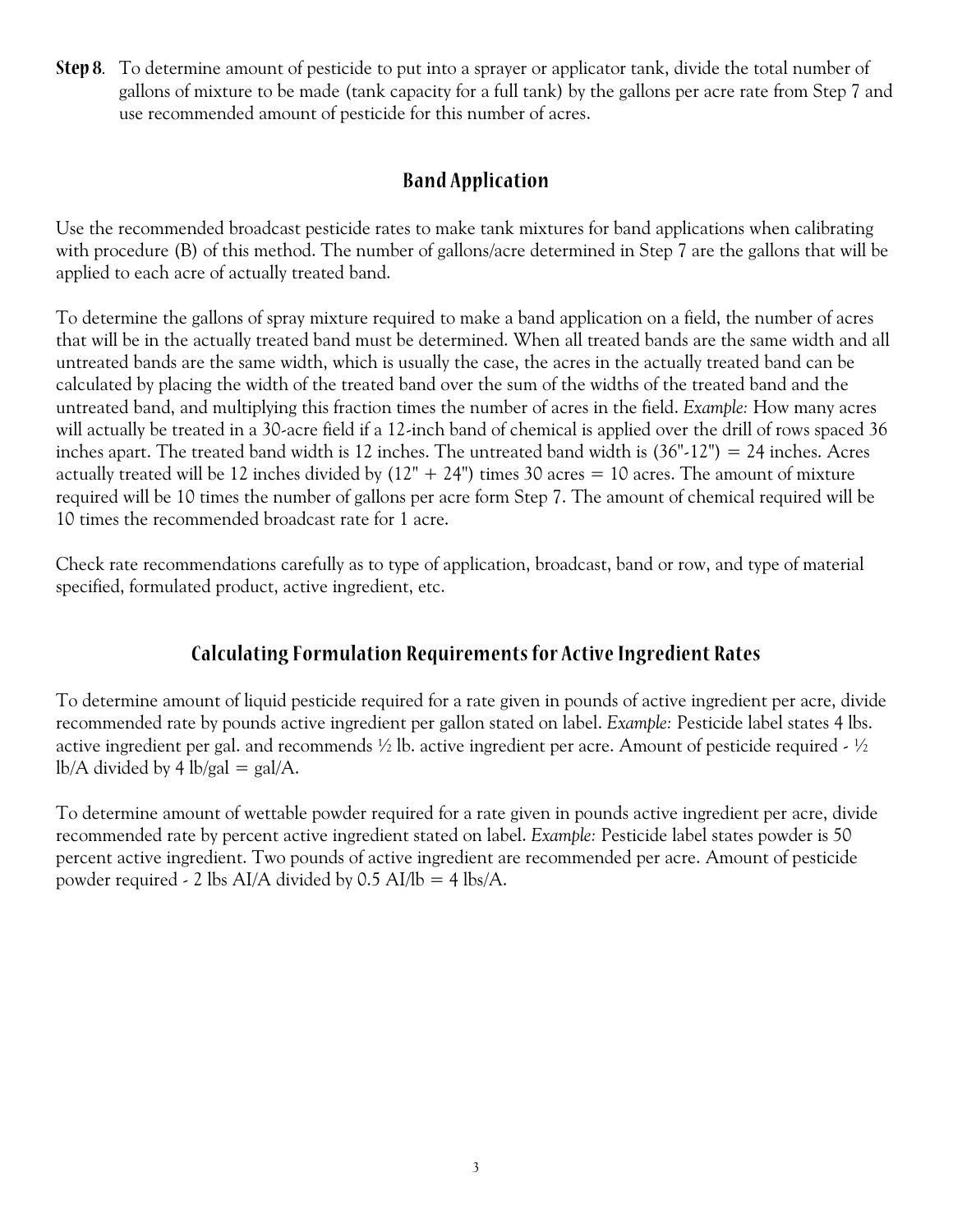**Step 8.** To determine amount of pesticide to put into a sprayer or applicator tank, divide the total number of gallons of mixture to be made (tank capacity for a full tank) by the gallons per acre rate from Step 7 and use recommended amount of pesticide for this number of acres.

## **Band Application**

Use the recommended broadcast pesticide rates to make tank mixtures for band applications when calibrating with procedure (B) of this method. The number of gallons/acre determined in Step 7 are the gallons that will be applied to each acre of actually treated band.

To determine the gallons of spray mixture required to make a band application on a field, the number of acres that will be in the actually treated band must be determined. When all treated bands are the same width and all untreated bands are the same width, which is usually the case, the acres in the actually treated band can be calculated by placing the width of the treated band over the sum of the widths of the treated band and the untreated band, and multiplying this fraction times the number of acres in the field. *Example:* How many acres will actually be treated in a 30-acre field if a 12-inch band of chemical is applied over the drill of rows spaced 36 inches apart. The treated band width is 12 inches. The untreated band width is (36"-12") = 24 inches. Acres actually treated will be 12 inches divided by  $(12" + 24")$  times 30 acres = 10 acres. The amount of mixture required will be 10 times the number of gallons per acre form Step 7. The amount of chemical required will be 10 times the recommended broadcast rate for 1 acre.

Check rate recommendations carefully as to type of application, broadcast, band or row, and type of material specified, formulated product, active ingredient, etc.

# **Calculating Formulation Requirements for Active Ingredient Rates**

To determine amount of liquid pesticide required for a rate given in pounds of active ingredient per acre, divide recommended rate by pounds active ingredient per gallon stated on label. *Example:* Pesticide label states 4 lbs. active ingredient per gal. and recommends  $\frac{1}{2}$  lb. active ingredient per acre. Amount of pesticide required -  $\frac{1}{2}$ lb/A divided by 4 lb/gal = gal/A.

To determine amount of wettable powder required for a rate given in pounds active ingredient per acre, divide recommended rate by percent active ingredient stated on label. *Example:* Pesticide label states powder is 50 percent active ingredient. Two pounds of active ingredient are recommended per acre. Amount of pesticide powder required - 2 lbs AI/A divided by  $0.5$  AI/lb = 4 lbs/A.